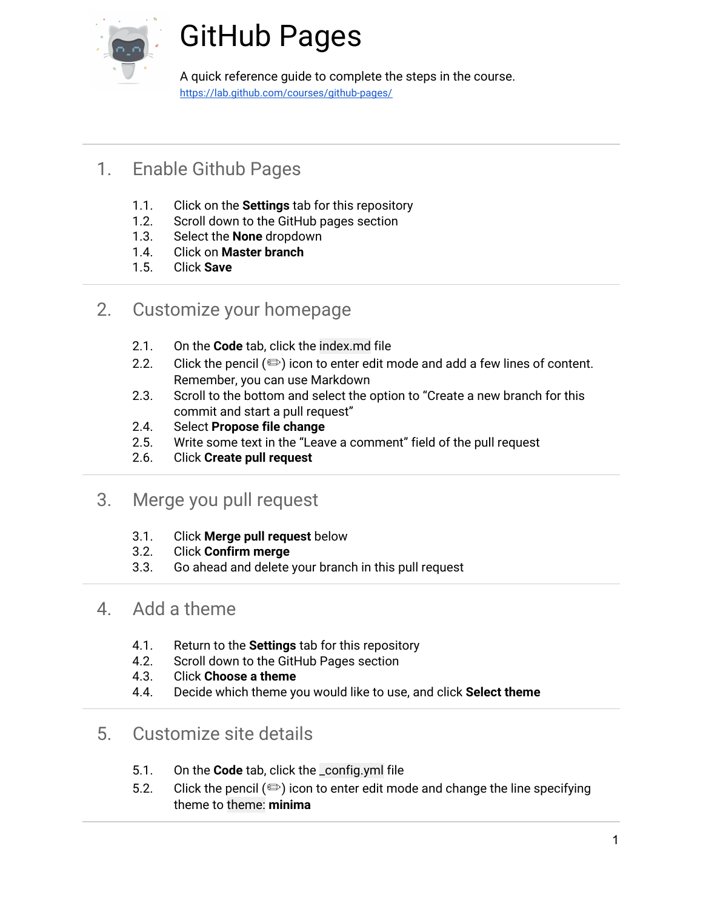

# GitHub Pages

A quick reference guide to complete the steps in the course. [https://lab.github.com/courses/github-pages/](https://lab.github.com/courses/introduction-to-github/)

# 1. Enable Github Pages

- 1.1. Click on the **Settings** tab for this repository
- 1.2. Scroll down to the GitHub pages section
- 1.3. Select the **None** dropdown
- 1.4. Click on **Master branch**
- 1.5. Click **Save**

#### 2. Customize your homepage

- 2.1. On the **Code** tab, click the index.md file
- 2.2. Click the pencil  $(\text{D})$  icon to enter edit mode and add a few lines of content. Remember, you can use Markdown
- 2.3. Scroll to the bottom and select the option to "Create a new branch for this commit and start a pull request"
- 2.4. Select **Propose file change**
- 2.5. Write some text in the "Leave a comment" field of the pull request
- 2.6. Click **Create pull request**

#### 3. Merge you pull request

- 3.1. Click **Merge pull request** below
- 3.2. Click **Confirm merge**
- 3.3. Go ahead and delete your branch in this pull request

#### 4. Add a theme

- 4.1. Return to the **Settings** tab for this repository
- 4.2. Scroll down to the GitHub Pages section
- 4.3. Click **Choose a theme**
- 4.4. Decide which theme you would like to use, and click **Select theme**

### 5. Customize site details

- 5.1. On the **Code** tab, click the \_config.yml file
- 5.2. Click the pencil  $(\text{a})$  icon to enter edit mode and change the line specifying theme to theme: **minima**